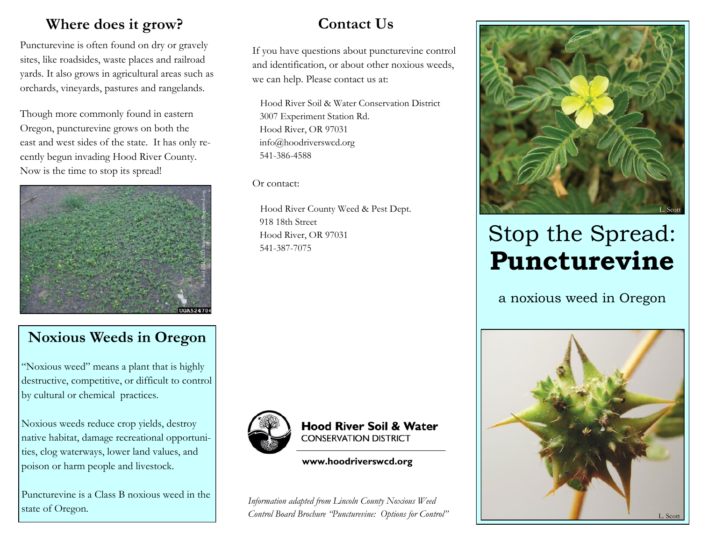### **Where does it grow?**

Puncturevine is often found on dry or gravely sites, like roadsides, waste places and railroad yards. It also grows in agricultural areas such as orchards, vineyards, pastures and rangelands.

Though more commonly found in eastern Oregon, puncturevine grows on both the east and west sides of the state. It has only recently begun invading Hood River County. Now is the time to stop its spread!



# **Contact Us**

If you have questions about puncturevine control and identification, or about other noxious weeds, we can help. Please contact us at:

 Hood River Soil & Water Conservation District 3007 Experiment Station Rd. Hood River, OR 97031 info@hoodriverswcd.org 541-386-4588

Or contact:

 Hood River County Weed & Pest Dept. 918 18th Street Hood River, OR 97031 541-387-7075



#### **Hood River Soil & Water CONSERVATION DISTRICT**

**www.hoodriverswcd.org**

*Information adapted from Lincoln County Noxious Weed Control Board Brochure "Puncturevine: Options for Control"*



# Stop the Spread: **Puncturevine**

a noxious weed in Oregon



#### **Noxious Weeds in Oregon**

"Noxious weed" means a plant that is highly destructive, competitive, or difficult to control by cultural or chemical practices.

Noxious weeds reduce crop yields, destroy native habitat, damage recreational opportunities, clog waterways, lower land values, and poison or harm people and livestock.

Puncturevine is a Class B noxious weed in the state of Oregon.